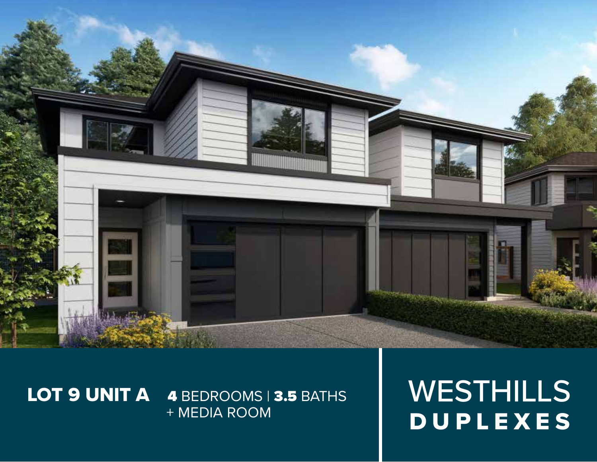

# LOT 9 UNIT A 4 BEDROOMS | 3.5 BATHS + MEDIA ROOM

WESTHILLS DUPLEXES